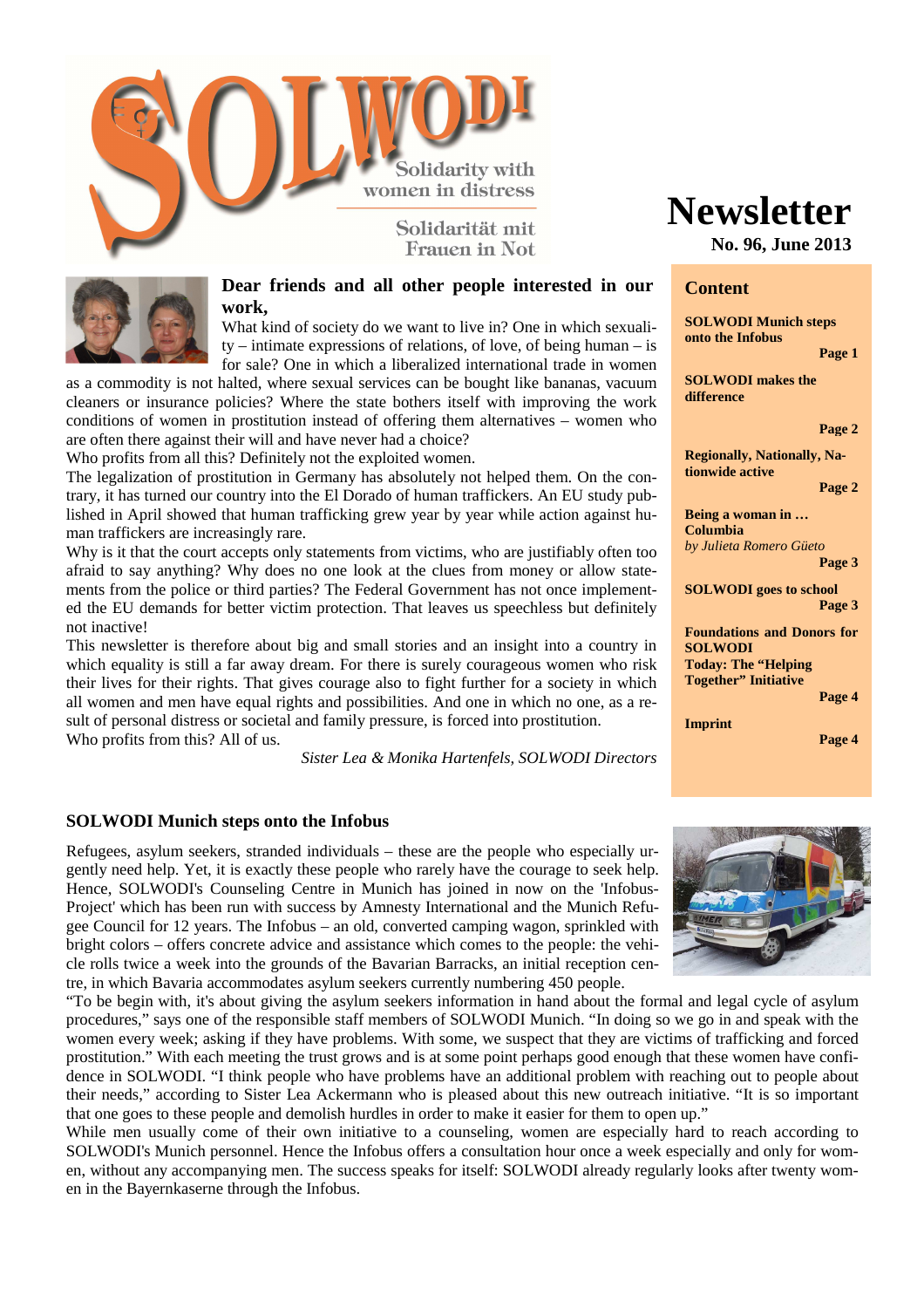

Franen in Not



# **Dear friends and all other people interested in our work,**

What kind of society do we want to live in? One in which sexuality – intimate expressions of relations, of love, of being human – is for sale? One in which a liberalized international trade in women

as a commodity is not halted, where sexual services can be bought like bananas, vacuum cleaners or insurance policies? Where the state bothers itself with improving the work conditions of women in prostitution instead of offering them alternatives – women who are often there against their will and have never had a choice?

Who profits from all this? Definitely not the exploited women.

The legalization of prostitution in Germany has absolutely not helped them. On the contrary, it has turned our country into the El Dorado of human traffickers. An EU study published in April showed that human trafficking grew year by year while action against human traffickers are increasingly rare.

Why is it that the court accepts only statements from victims, who are justifiably often too afraid to say anything? Why does no one look at the clues from money or allow statements from the police or third parties? The Federal Government has not once implemented the EU demands for better victim protection. That leaves us speechless but definitely not inactive!

This newsletter is therefore about big and small stories and an insight into a country in which equality is still a far away dream. For there is surely courageous women who risk their lives for their rights. That gives courage also to fight further for a society in which all women and men have equal rights and possibilities. And one in which no one, as a result of personal distress or societal and family pressure, is forced into prostitution. Who profits from this? All of us.

*Sister Lea & Monika Hartenfels, SOLWODI Directors*

## **SOLWODI Munich steps onto the Infobus**

Refugees, asylum seekers, stranded individuals – these are the people who especially urgently need help. Yet, it is exactly these people who rarely have the courage to seek help. Hence, SOLWODI's Counseling Centre in Munich has joined in now on the 'Infobus-Project' which has been run with success by Amnesty International and the Munich Refugee Council for 12 years. The Infobus – an old, converted camping wagon, sprinkled with bright colors – offers concrete advice and assistance which comes to the people: the vehicle rolls twice a week into the grounds of the Bavarian Barracks, an initial reception centre, in which Bavaria accommodates asylum seekers currently numbering 450 people.

"To be begin with, it's about giving the asylum seekers information in hand about the formal and legal cycle of asylum procedures," says one of the responsible staff members of SOLWODI Munich. "In doing so we go in and speak with the women every week; asking if they have problems. With some, we suspect that they are victims of trafficking and forced prostitution." With each meeting the trust grows and is at some point perhaps good enough that these women have confidence in SOLWODI. "I think people who have problems have an additional problem with reaching out to people about their needs," according to Sister Lea Ackermann who is pleased about this new outreach initiative. "It is so important that one goes to these people and demolish hurdles in order to make it easier for them to open up."

While men usually come of their own initiative to a counseling, women are especially hard to reach according to SOLWODI's Munich personnel. Hence the Infobus offers a consultation hour once a week especially and only for women, without any accompanying men. The success speaks for itself: SOLWODI already regularly looks after twenty women in the Bayernkaserne through the Infobus.

# **Newsletter**

**No. 96, June 2013**

## **Content**

**SOLWODI Munich steps onto the Infobus** 

 **Page 1** 

**SOLWODI makes the difference** 

#### **Page 2**

**Regionally, Nationally, Nationwide active** 

**Page 2** 

**Being a woman in … Columbia** *by Julieta Romero Güeto*  **Page 3** 

**SOLWODI goes to school Page 3** 

**Foundations and Donors for SOLWODI Today: The "Helping Together" Initiative** 

**Imprint** 

**Page 4** 

 **Page 4** 

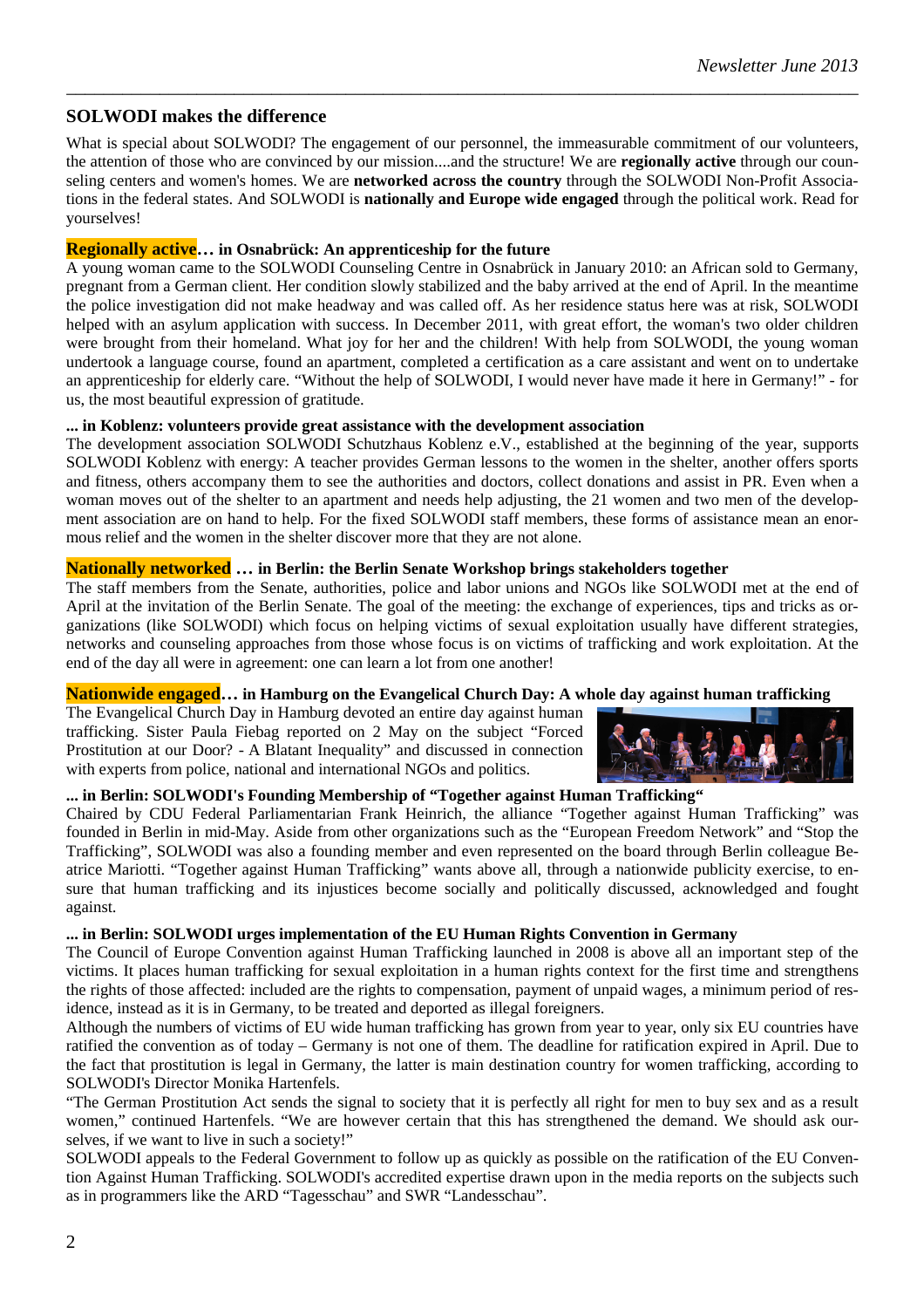# **SOLWODI makes the difference**

What is special about SOLWODI? The engagement of our personnel, the immeasurable commitment of our volunteers, the attention of those who are convinced by our mission....and the structure! We are **regionally active** through our counseling centers and women's homes. We are **networked across the country** through the SOLWODI Non-Profit Associations in the federal states. And SOLWODI is **nationally and Europe wide engaged** through the political work. Read for yourselves!

*\_\_\_\_\_\_\_\_\_\_\_\_\_\_\_\_\_\_\_\_\_\_\_\_\_\_\_\_\_\_\_\_\_\_\_\_\_\_\_\_\_\_\_\_\_\_\_\_\_\_\_\_\_\_\_\_\_\_\_\_\_\_\_\_\_\_\_\_\_\_\_\_\_\_\_\_\_\_\_\_\_\_\_\_\_* 

# **Regionally active… in Osnabrück: An apprenticeship for the future**

A young woman came to the SOLWODI Counseling Centre in Osnabrück in January 2010: an African sold to Germany, pregnant from a German client. Her condition slowly stabilized and the baby arrived at the end of April. In the meantime the police investigation did not make headway and was called off. As her residence status here was at risk, SOLWODI helped with an asylum application with success. In December 2011, with great effort, the woman's two older children were brought from their homeland. What joy for her and the children! With help from SOLWODI, the young woman undertook a language course, found an apartment, completed a certification as a care assistant and went on to undertake an apprenticeship for elderly care. "Without the help of SOLWODI, I would never have made it here in Germany!" - for us, the most beautiful expression of gratitude.

## **... in Koblenz: volunteers provide great assistance with the development association**

The development association SOLWODI Schutzhaus Koblenz e.V., established at the beginning of the year, supports SOLWODI Koblenz with energy: A teacher provides German lessons to the women in the shelter, another offers sports and fitness, others accompany them to see the authorities and doctors, collect donations and assist in PR. Even when a woman moves out of the shelter to an apartment and needs help adjusting, the 21 women and two men of the development association are on hand to help. For the fixed SOLWODI staff members, these forms of assistance mean an enormous relief and the women in the shelter discover more that they are not alone.

# **Nationally networked … in Berlin: the Berlin Senate Workshop brings stakeholders together**

The staff members from the Senate, authorities, police and labor unions and NGOs like SOLWODI met at the end of April at the invitation of the Berlin Senate. The goal of the meeting: the exchange of experiences, tips and tricks as organizations (like SOLWODI) which focus on helping victims of sexual exploitation usually have different strategies, networks and counseling approaches from those whose focus is on victims of trafficking and work exploitation. At the end of the day all were in agreement: one can learn a lot from one another!

## **Nationwide engaged… in Hamburg on the Evangelical Church Day: A whole day against human trafficking**

The Evangelical Church Day in Hamburg devoted an entire day against human trafficking. Sister Paula Fiebag reported on 2 May on the subject "Forced Prostitution at our Door? - A Blatant Inequality" and discussed in connection with experts from police, national and international NGOs and politics.



# **... in Berlin: SOLWODI's Founding Membership of "Together against Human Trafficking"**

Chaired by CDU Federal Parliamentarian Frank Heinrich, the alliance "Together against Human Trafficking" was founded in Berlin in mid-May. Aside from other organizations such as the "European Freedom Network" and "Stop the Trafficking", SOLWODI was also a founding member and even represented on the board through Berlin colleague Beatrice Mariotti. "Together against Human Trafficking" wants above all, through a nationwide publicity exercise, to ensure that human trafficking and its injustices become socially and politically discussed, acknowledged and fought against.

# **... in Berlin: SOLWODI urges implementation of the EU Human Rights Convention in Germany**

The Council of Europe Convention against Human Trafficking launched in 2008 is above all an important step of the victims. It places human trafficking for sexual exploitation in a human rights context for the first time and strengthens the rights of those affected: included are the rights to compensation, payment of unpaid wages, a minimum period of residence, instead as it is in Germany, to be treated and deported as illegal foreigners.

Although the numbers of victims of EU wide human trafficking has grown from year to year, only six EU countries have ratified the convention as of today – Germany is not one of them. The deadline for ratification expired in April. Due to the fact that prostitution is legal in Germany, the latter is main destination country for women trafficking, according to SOLWODI's Director Monika Hartenfels.

"The German Prostitution Act sends the signal to society that it is perfectly all right for men to buy sex and as a result women," continued Hartenfels. "We are however certain that this has strengthened the demand. We should ask ourselves, if we want to live in such a society!"

SOLWODI appeals to the Federal Government to follow up as quickly as possible on the ratification of the EU Convention Against Human Trafficking. SOLWODI's accredited expertise drawn upon in the media reports on the subjects such as in programmers like the ARD "Tagesschau" and SWR "Landesschau".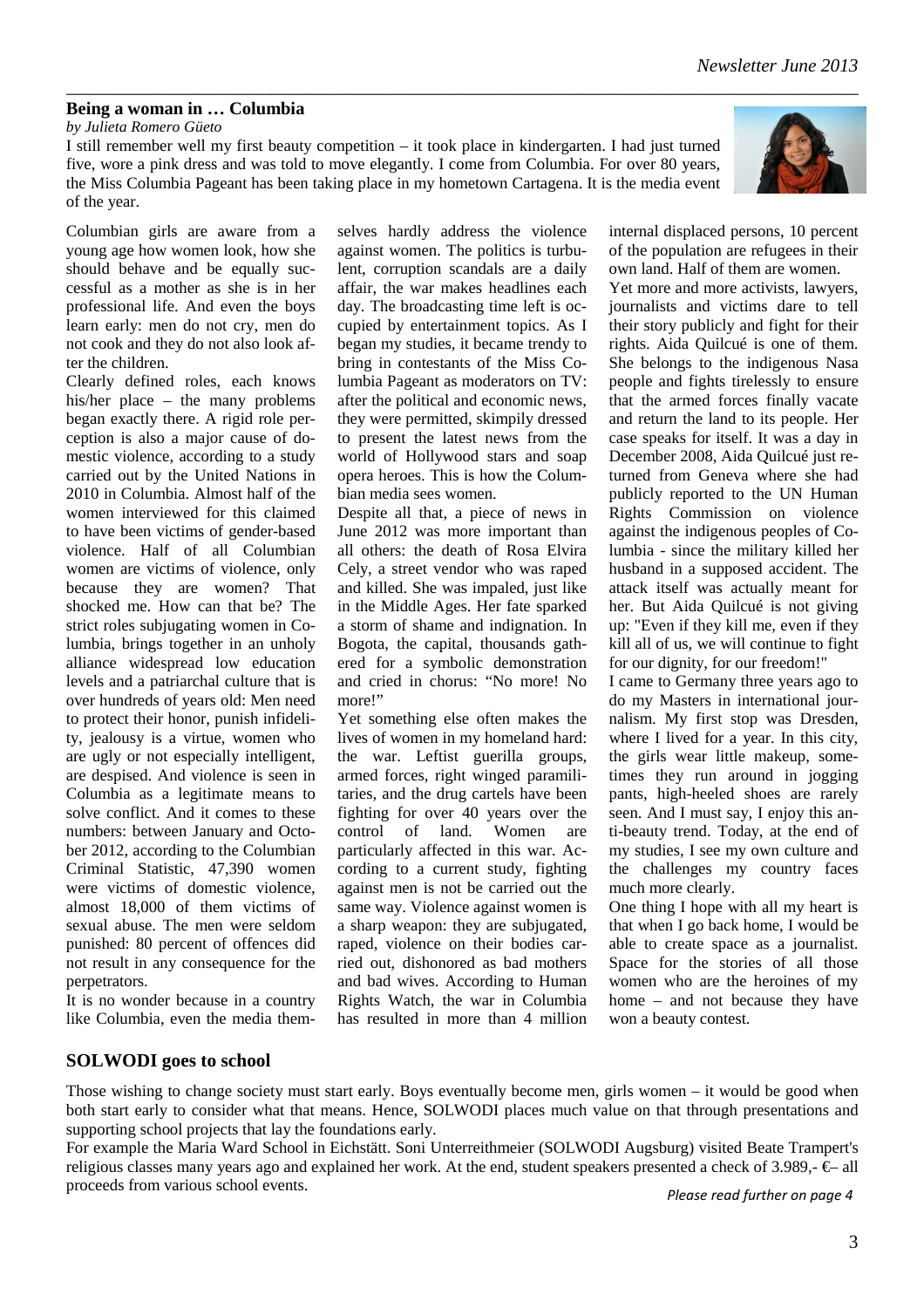3

# **Being a woman in … Columbia**

*by Julieta Romero Güeto* 

I still remember well my first beauty competition – it took place in kindergarten. I had just turned five, wore a pink dress and was told to move elegantly. I come from Columbia. For over 80 years, the Miss Columbia Pageant has been taking place in my hometown Cartagena. It is the media event of the year.

Columbian girls are aware from a young age how women look, how she should behave and be equally successful as a mother as she is in her professional life. And even the boys learn early: men do not cry, men do not cook and they do not also look after the children.

Clearly defined roles, each knows his/her place – the many problems began exactly there. A rigid role perception is also a major cause of domestic violence, according to a study carried out by the United Nations in 2010 in Columbia. Almost half of the women interviewed for this claimed to have been victims of gender-based violence. Half of all Columbian women are victims of violence, only because they are women? That shocked me. How can that be? The strict roles subjugating women in Columbia, brings together in an unholy alliance widespread low education levels and a patriarchal culture that is over hundreds of years old: Men need to protect their honor, punish infidelity, jealousy is a virtue, women who are ugly or not especially intelligent, are despised. And violence is seen in Columbia as a legitimate means to solve conflict. And it comes to these numbers: between January and October 2012, according to the Columbian Criminal Statistic, 47,390 women were victims of domestic violence, almost 18,000 of them victims of sexual abuse. The men were seldom punished: 80 percent of offences did not result in any consequence for the perpetrators.

It is no wonder because in a country like Columbia, even the media them-

selves hardly address the violence against women. The politics is turbulent, corruption scandals are a daily affair, the war makes headlines each day. The broadcasting time left is occupied by entertainment topics. As I began my studies, it became trendy to bring in contestants of the Miss Columbia Pageant as moderators on TV: after the political and economic news, they were permitted, skimpily dressed to present the latest news from the world of Hollywood stars and soap opera heroes. This is how the Columbian media sees women.

Despite all that, a piece of news in June 2012 was more important than all others: the death of Rosa Elvira Cely, a street vendor who was raped and killed. She was impaled, just like in the Middle Ages. Her fate sparked a storm of shame and indignation. In Bogota, the capital, thousands gathered for a symbolic demonstration and cried in chorus: "No more! No more!"

Yet something else often makes the lives of women in my homeland hard: the war. Leftist guerilla groups, armed forces, right winged paramilitaries, and the drug cartels have been fighting for over 40 years over the control of land. Women are particularly affected in this war. According to a current study, fighting against men is not be carried out the same way. Violence against women is a sharp weapon: they are subjugated, raped, violence on their bodies carried out, dishonored as bad mothers and bad wives. According to Human Rights Watch, the war in Columbia has resulted in more than 4 million

internal displaced persons, 10 percent of the population are refugees in their own land. Half of them are women.

Yet more and more activists, lawyers, journalists and victims dare to tell their story publicly and fight for their rights. Aida Quilcué is one of them. She belongs to the indigenous Nasa people and fights tirelessly to ensure that the armed forces finally vacate and return the land to its people. Her case speaks for itself. It was a day in December 2008, Aida Quilcué just returned from Geneva where she had publicly reported to the UN Human Rights Commission on violence against the indigenous peoples of Columbia - since the military killed her husband in a supposed accident. The attack itself was actually meant for her. But Aida Quilcué is not giving up: "Even if they kill me, even if they kill all of us, we will continue to fight for our dignity, for our freedom!"

I came to Germany three years ago to do my Masters in international journalism. My first stop was Dresden, where I lived for a year. In this city, the girls wear little makeup, sometimes they run around in jogging pants, high-heeled shoes are rarely seen. And I must say, I enjoy this anti-beauty trend. Today, at the end of my studies, I see my own culture and the challenges my country faces much more clearly.

One thing I hope with all my heart is that when I go back home, I would be able to create space as a journalist. Space for the stories of all those women who are the heroines of my home – and not because they have won a beauty contest.

# **SOLWODI goes to school**

Those wishing to change society must start early. Boys eventually become men, girls women – it would be good when both start early to consider what that means. Hence, SOLWODI places much value on that through presentations and supporting school projects that lay the foundations early.

For example the Maria Ward School in Eichstätt. Soni Unterreithmeier (SOLWODI Augsburg) visited Beate Trampert's religious classes many years ago and explained her work. At the end, student speakers presented a check of 3.989,- $\epsilon$ – all proceeds from various school events.

*Please read further on page 4*